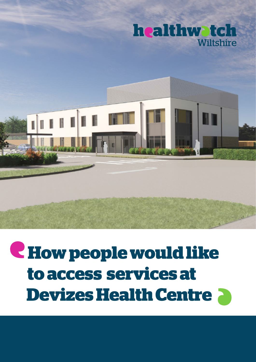



# **How people would like to access services at Devizes Health Centre**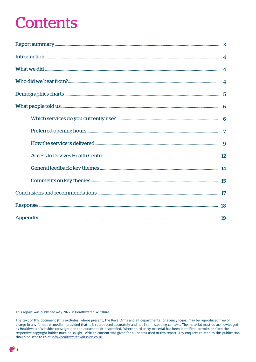# **Contents**

This report was published May 2022 © Healthwatch Wiltshire

The text of this document (this excludes, where present, the Royal Arms and all departmental or agency logos) may be reproduced free of charge in any format or medium provided that it is reproduced accurately and not in a misleading context. The material must be acknowledged as Healthwatch Wiltshire copyright and the document title specified. Where third party material has been identified, permission from the respective copyright holder must be sought. Written consent was given for all photos used in this report. Any enquires related to this publication should be sent to us at info@healthwatchwiltshire.co.uk

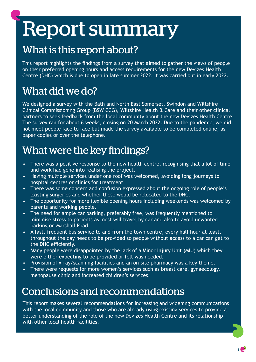# Report summary

## What is this report about?

This report highlights the findings from a survey that aimed to gather the views of people on their preferred opening hours and access requirements for the new Devizes Health Centre (DHC) which is due to open in late summer 2022. It was carried out in early 2022.

## What did we do?

We designed a survey with the Bath and North East Somerset, Swindon and Wiltshire Clinical Commissioning Group (BSW CCG), Wiltshire Health & Care and their other clinical partners to seek feedback from the local community about the new Devizes Health Centre. The survey ran for about 6 weeks, closing on 20 March 2022. Due to the pandemic, we did not meet people face to face but made the survey available to be completed online, as paper copies or over the telephone.

# What were the key findings?

- There was a positive response to the new health centre, recognising that a lot of time and work had gone into realising the project.
- Having multiple services under one roof was welcomed, avoiding long journeys to hospital centres or clinics for treatment.
- There was some concern and confusion expressed about the ongoing role of people's existing surgeries and whether these would be relocated to the DHC.
- The opportunity for more flexible opening hours including weekends was welcomed by parents and working people.
- The need for ample car parking, preferably free, was frequently mentioned to minimise stress to patients as most will travel by car and also to avoid unwanted parking on Marshall Road.
- A fast, frequent bus service to and from the town centre, every half hour at least, throughout the day needs to be provided so people without access to a car can get to the DHC efficiently.
- Many people were disappointed by the lack of a Minor Injury Unit (MIU) which they were either expecting to be provided or felt was needed.
- Provision of x-ray/scanning facilities and an on-site pharmacy was a key theme.
- There were requests for more women's services such as breast care, gynaecology, menopause clinic and increased children's services.

## Conclusions and recommendations

This report makes several recommendations for increasing and widening communications with the local community and those who are already using existing services to provide a better understanding of the role of the new Devizes Health Centre and its relationship with other local health facilities.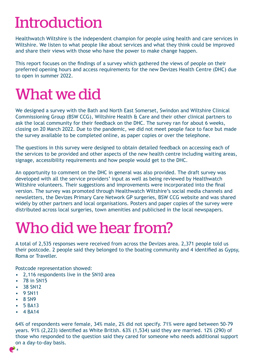# Introduction

Healthwatch Wiltshire is the independent champion for people using health and care services in Wiltshire. We listen to what people like about services and what they think could be improved and share their views with those who have the power to make change happen.

This report focuses on the findings of a survey which gathered the views of people on their preferred opening hours and access requirements for the new Devizes Health Centre (DHC) due to open in summer 2022.

# What we did

We designed a survey with the Bath and North East Somerset, Swindon and Wiltshire Clinical Commissioning Group (BSW CCG), Wiltshire Health & Care and their other clinical partners to ask the local community for their feedback on the DHC. The survey ran for about 6 weeks, closing on 20 March 2022. Due to the pandemic, we did not meet people face to face but made the survey available to be completed online, as paper copies or over the telephone.

The questions in this survey were designed to obtain detailed feedback on accessing each of the services to be provided and other aspects of the new health centre including waiting areas, signage, accessibility requirements and how people would get to the DHC.

An opportunity to comment on the DHC in general was also provided. The draft survey was developed with all the service providers' input as well as being reviewed by Healthwatch Wiltshire volunteers. Their suggestions and improvements were incorporated into the final version. The survey was promoted through Healthwatch Wiltshire's social media channels and newsletters, the Devizes Primary Care Network GP surgeries, BSW CCG website and was shared widely by other partners and local organisations. Posters and paper copies of the survey were distributed across local surgeries, town amenities and publicised in the local newspapers.

# Who did we hear from?

A total of 2,535 responses were received from across the Devizes area. 2,371 people told us their postcode. 2 people said they belonged to the boating community and 4 identified as Gypsy, Roma or Traveller.

Postcode representation showed:

- 2,116 respondents live in the SN10 area
- 78 in SN15
- 38 SN12
- 9 SN11
- 8 SN9
- 5 BA13
- 4 BA14

64% of respondents were female, 34% male, 2% did not specify. 71% were aged between 50-79 years. 91% (2,223) identified as White British. 63% (1,534) said they are married. 12% (290) of those who responded to the question said they cared for someone who needs additional support on a day-to-day basis.

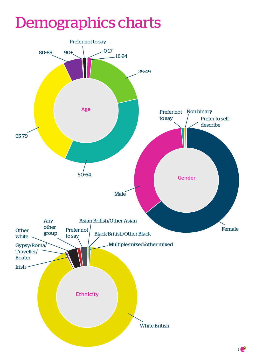# Demographics charts

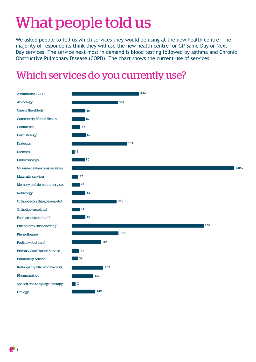# What people told us

We asked people to tell us which services they would be using at the new health centre. The majority of respondents think they will use the new health centre for GP Same Day or Next Day services. The service next most in demand is blood testing followed by asthma and Chronic Obstructive Pulmonary Disease (COPD). The chart shows the current use of services.

## Which services do you currently use?

| Asthma and COPD                  | 434               |       |
|----------------------------------|-------------------|-------|
| Audiology                        | 302               |       |
| Care of the elderly              | $\blacksquare$ 86 |       |
| <b>Community Mental Health</b>   | 82                |       |
| Continence                       | 52                |       |
| Dermatology                      | 89                |       |
| <b>Diabetics</b>                 | 359               |       |
| <b>Dietetics</b>                 | $\blacksquare$ 16 |       |
| Endocrinology                    | 80                |       |
| GP same day/next day services    |                   | 1,057 |
| <b>Maternity services</b>        | $\vert$ 37        |       |
| Memory and dementia services     | 47                |       |
| Neurology                        | 82                |       |
| Orthopaedics (hips, knees, etc)  | 289               |       |
| Orthotics (eg splints)           | 47                |       |
| Paediatrics (children's)         | 86                |       |
| Phlebotomy (blood testing)       |                   | 860   |
| Physiotherapy                    | 301               |       |
| Podiatry (foot care)             | 186               |       |
| Primary Care Liaison Service     | 46                |       |
| <b>Pulmonary Advice</b>          | $\blacksquare$ 36 |       |
| Retinopathy (diabetic eye tests) | 202               |       |
| Rheumatology                     | 133               |       |
| Speech and Language Therapy      | $\vert$ 21        |       |
| <b>Urology</b>                   | 149               |       |

**6**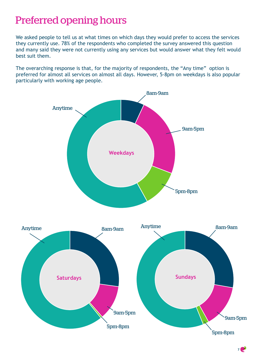## Preferred opening hours

We asked people to tell us at what times on which days they would prefer to access the services they currently use. 78% of the respondents who completed the survey answered this question and many said they were not currently using any services but would answer what they felt would best suit them.

The overarching response is that, for the majority of respondents, the "Any time" option is preferred for almost all services on almost all days. However, 5-8pm on weekdays is also popular particularly with working age people.



**7**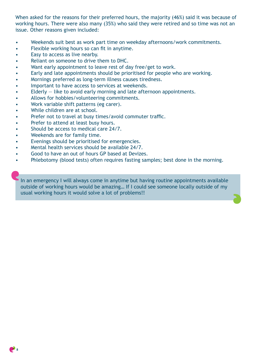When asked for the reasons for their preferred hours, the majority (46%) said it was because of working hours. There were also many (35%) who said they were retired and so time was not an issue. Other reasons given included:

- Weekends suit best as work part time on weekday afternoons/work commitments.
- Flexible working hours so can fit in anytime.
- Easy to access as live nearby.
- Reliant on someone to drive them to DHC.
- Want early appointment to leave rest of day free/get to work.
- Early and late appointments should be prioritised for people who are working.
- Mornings preferred as long-term illness causes tiredness.
- Important to have access to services at weekends.
- Elderly like to avoid early morning and late afternoon appointments.
- Allows for hobbies/volunteering commitments.
- Work variable shift patterns (eg carer).
- While children are at school.
- Prefer not to travel at busy times/avoid commuter traffic.
- Prefer to attend at least busy hours.
- Should be access to medical care 24/7.
- Weekends are for family time.

**8**

- Evenings should be prioritised for emergencies.
- Mental health services should be available 24/7.
- Good to have an out of hours GP based at Devizes.
- Phlebotomy (blood tests) often requires fasting samples; best done in the morning.

In an emergency I will always come in anytime but having routine appointments available outside of working hours would be amazing… If I could see someone locally outside of my usual working hours it would solve a lot of problems!!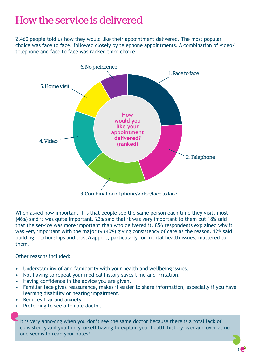## How the service is delivered

2,460 people told us how they would like their appointment delivered. The most popular choice was face to face, followed closely by telephone appointments. A combination of video/ telephone and face to face was ranked third choice.



3. Combination of phone/video/face to face

When asked how important it is that people see the same person each time they visit, most (46%) said it was quite important. 23% said that it was very important to them but 18% said that the service was more important than who delivered it. 856 respondents explained why it was very important with the majority (40%) giving consistency of care as the reason. 12% said building relationships and trust/rapport, particularly for mental health issues, mattered to them.

Other reasons included:

- Understanding of and familiarity with your health and wellbeing issues.
- Not having to repeat your medical history saves time and irritation.
- Having confidence in the advice you are given.
- Familiar face gives reassurance, makes it easier to share information, especially if you have learning disability or hearing impairment.
- Reduces fear and anxiety.
- Preferring to see a female doctor.

It is very annoying when you don't see the same doctor because there is a total lack of consistency and you find yourself having to explain your health history over and over as no one seems to read your notes!

**9**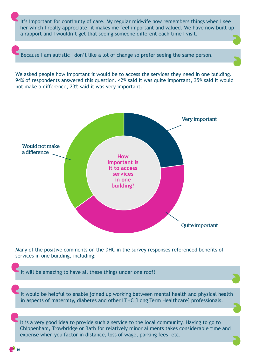It's important for continuity of care. My regular midwife now remembers things when I see her which I really appreciate, it makes me feel important and valued. We have now built up a rapport and I wouldn't get that seeing someone different each time I visit.

Because I am autistic I don't like a lot of change so prefer seeing the same person.

We asked people how important it would be to access the services they need in one building. 94% of respondents answered this question. 42% said it was quite important, 35% said it would not make a difference, 23% said it was very important.



Many of the positive comments on the DHC in the survey responses referenced benefits of services in one building, including:

It will be amazing to have all these things under one roof!

It would be helpful to enable joined up working between mental health and physical health in aspects of maternity, diabetes and other LTHC [Long Term Healthcare] professionals.

It is a very good idea to provide such a service to the local community. Having to go to Chippenham, Trowbridge or Bath for relatively minor ailments takes considerable time and expense when you factor in distance, loss of wage, parking fees, etc.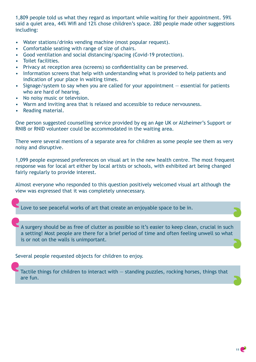1,809 people told us what they regard as important while waiting for their appointment. 59% said a quiet area, 44% Wifi and 12% chose children's space. 280 people made other suggestions including:

- Water stations/drinks vending machine (most popular request).
- Comfortable seating with range of size of chairs.
- Good ventilation and social distancing/spacing (Covid-19 protection).
- Toilet facilities.
- Privacy at reception area (screens) so confidentiality can be preserved.
- Information screens that help with understanding what is provided to help patients and indication of your place in waiting times.
- Signage/system to say when you are called for your appointment essential for patients who are hard of hearing.
- No noisy music or television.
- Warm and inviting area that is relaxed and accessible to reduce nervousness.
- Reading material.

One person suggested counselling service provided by eg an Age UK or Alzheimer's Support or RNIB or RNID volunteer could be accommodated in the waiting area.

There were several mentions of a separate area for children as some people see them as very noisy and disruptive.

1,099 people expressed preferences on visual art in the new health centre. The most frequent response was for local art either by local artists or schools, with exhibited art being changed fairly regularly to provide interest.

Almost everyone who responded to this question positively welcomed visual art although the view was expressed that it was completely unnecessary.

Love to see peaceful works of art that create an enjoyable space to be in.

A surgery should be as free of clutter as possible so it's easier to keep clean, crucial in such a setting! Most people are there for a brief period of time and often feeling unwell so what is or not on the walls is unimportant.

Several people requested objects for children to enjoy.

Tactile things for children to interact with — standing puzzles, rocking horses, things that are fun.

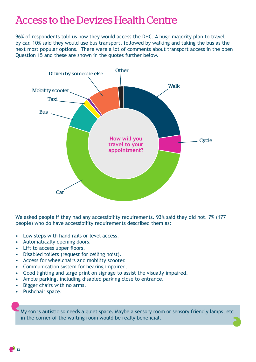## Access to the Devizes Health Centre

96% of respondents told us how they would access the DHC. A huge majority plan to travel by car. 10% said they would use bus transport, followed by walking and taking the bus as the next most popular options. There were a lot of comments about transport access in the open Question 15 and these are shown in the quotes further below.



We asked people if they had any accessibility requirements. 93% said they did not. 7% (177 people) who do have accessibility requirements described them as:

- Low steps with hand rails or level access.
- Automatically opening doors.
- Lift to access upper floors.
- Disabled toilets (request for ceiling hoist).
- Access for wheelchairs and mobility scooter.
- Communication system for hearing impaired.
- Good lighting and large print on signage to assist the visually impaired.
- Ample parking, including disabled parking close to entrance.
- Bigger chairs with no arms.
- Pushchair space.

**12**

My son is autistic so needs a quiet space. Maybe a sensory room or sensory friendly lamps, etc in the corner of the waiting room would be really beneficial.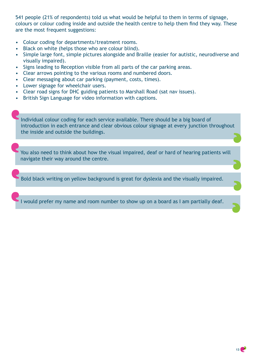541 people (21% of respondents) told us what would be helpful to them in terms of signage, colours or colour coding inside and outside the health centre to help them find they way. These are the most frequent suggestions:

- Colour coding for departments/treatment rooms.
- Black on white (helps those who are colour blind).
- Simple large font, simple pictures alongside and Braille (easier for autistic, neurodiverse and visually impaired).
- Signs leading to Reception visible from all parts of the car parking areas.
- Clear arrows pointing to the various rooms and numbered doors.
- Clear messaging about car parking (payment, costs, times).
- Lower signage for wheelchair users.
- Clear road signs for DHC guiding patients to Marshall Road (sat nav issues).
- British Sign Language for video information with captions.

Individual colour coding for each service available. There should be a big board of introduction in each entrance and clear obvious colour signage at every junction throughout the inside and outside the buildings.

You also need to think about how the visual impaired, deaf or hard of hearing patients will navigate their way around the centre.

Bold black writing on yellow background is great for dyslexia and the visually impaired.

I would prefer my name and room number to show up on a board as I am partially deaf.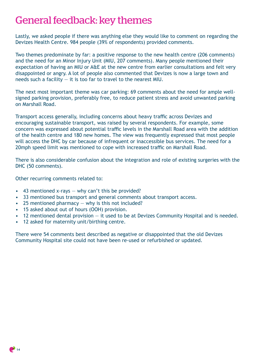## General feedback: key themes

Lastly, we asked people if there was anything else they would like to comment on regarding the Devizes Health Centre. 984 people (39% of respondents) provided comments.

Two themes predominate by far: a positive response to the new health centre (206 comments) and the need for an Minor Injury Unit (MIU, 207 comments). Many people mentioned their expectation of having an MIU or A&E at the new centre from earlier consultations and felt very disappointed or angry. A lot of people also commented that Devizes is now a large town and needs such a facility  $-$  it is too far to travel to the nearest MIU.

The next most important theme was car parking: 69 comments about the need for ample wellsigned parking provision, preferably free, to reduce patient stress and avoid unwanted parking on Marshall Road.

Transport access generally, including concerns about heavy traffic across Devizes and encouraging sustainable transport, was raised by several respondents. For example, some concern was expressed about potential traffic levels in the Marshall Road area with the addition of the health centre and 180 new homes. The view was frequently expressed that most people will access the DHC by car because of infrequent or inaccessible bus services. The need for a 20mph speed limit was mentioned to cope with increased traffic on Marshall Road.

There is also considerable confusion about the integration and role of existing surgeries with the DHC (50 comments).

Other recurring comments related to:

- 43 mentioned x-rays  $-$  why can't this be provided?
- 33 mentioned bus transport and general comments about transport access.
- 25 mentioned pharmacy  $-$  why is this not included?
- 15 asked about out of hours (OOH) provision.
- $12$  mentioned dental provision  $-$  it used to be at Devizes Community Hospital and is needed.
- 12 asked for maternity unit/birthing centre.

There were 54 comments best described as negative or disappointed that the old Devizes Community Hospital site could not have been re-used or refurbished or updated.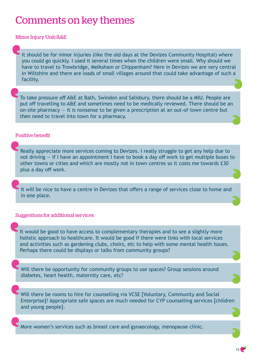## Comments on key themes

Minor Injury Unit/A&E

It should be for minor injuries (like the old days at the Devizes Community Hospital) where you could go quickly. I used it several times when the children were small. Why should we have to travel to Trowbridge, Melksham or Chippenham? Here in Devizes we are very central in Wiltshire and there are loads of small villages around that could take advantage of such a facility.

To take pressure off A&E at Bath, Swindon and Salisbury, there should be a MIU. People are put off travelling to A&E and sometimes need to be medically reviewed. There should be an on-site pharmacy  $-$  it is nonsense to be given a prescription at an out-of-town centre but then need to travel into town for a pharmacy.

#### Positive benefit

Really appreciate more services coming to Devizes. I really struggle to get any help due to not driving — if I have an appointment I have to book a day off work to get multiple buses to other towns or cities and which are mostly not in town centres so it costs me towards £30 plus a day off work.

It will be nice to have a centre in Devizes that offers a range of services close to home and in one place.

#### Suggestions for additional services

It would be good to have access to complementary therapies and to see a slightly more holistic approach to healthcare. It would be good if there were links with local services and activities such as gardening clubs, choirs, etc to help with some mental health issues. Perhaps there could be displays or talks from community groups?

Will there be opportunity for community groups to use spaces? Group sessions around diabetes, heart health, maternity care, etc?

Will there be rooms to hire for counselling via VCSE [Voluntary, Community and Social Enterprise]? Appropriate safe spaces are much needed for CYP counselling services [children and young people].

More women's services such as breast care and gynaecology, menopause clinic.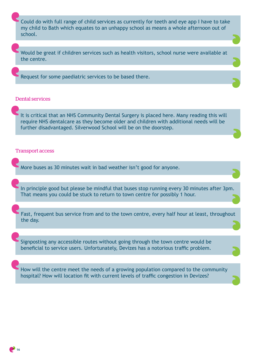Could do with full range of child services as currently for teeth and eye app I have to take my child to Bath which equates to an unhappy school as means a whole afternoon out of school.

Would be great if children services such as health visitors, school nurse were available at the centre.

Request for some paediatric services to be based there.

Dental services

It is critical that an NHS Community Dental Surgery is placed here. Many reading this will require NHS dentalcare as they become older and children with additional needs will be further disadvantaged. Silverwood School will be on the doorstep.

Transport access

More buses as 30 minutes wait in bad weather isn't good for anyone.

In principle good but please be mindful that buses stop running every 30 minutes after 3pm. That means you could be stuck to return to town centre for possibly 1 hour.

Fast, frequent bus service from and to the town centre, every half hour at least, throughout the day.

Signposting any accessible routes without going through the town centre would be beneficial to service users. Unfortunately, Devizes has a notorious traffic problem.

How will the centre meet the needs of a growing population compared to the community hospital? How will location fit with current levels of traffic congestion in Devizes?

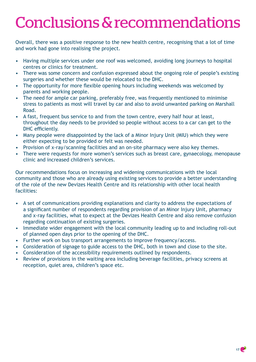# Conclusions & recommendations

Overall, there was a positive response to the new health centre, recognising that a lot of time and work had gone into realising the project.

- Having multiple services under one roof was welcomed, avoiding long journeys to hospital centres or clinics for treatment.
- There was some concern and confusion expressed about the ongoing role of people's existing surgeries and whether these would be relocated to the DHC.
- The opportunity for more flexible opening hours including weekends was welcomed by parents and working people.
- The need for ample car parking, preferably free, was frequently mentioned to minimise stress to patients as most will travel by car and also to avoid unwanted parking on Marshall Road.
- A fast, frequent bus service to and from the town centre, every half hour at least, throughout the day needs to be provided so people without access to a car can get to the DHC efficiently.
- Many people were disappointed by the lack of a Minor Injury Unit (MIU) which they were either expecting to be provided or felt was needed.
- Provision of x-ray/scanning facilities and an on-site pharmacy were also key themes.
- There were requests for more women's services such as breast care, gynaecology, menopause clinic and increased children's services.

Our recommendations focus on increasing and widening communications with the local community and those who are already using existing services to provide a better understanding of the role of the new Devizes Health Centre and its relationship with other local health facilities:

- A set of communications providing explanations and clarity to address the expectations of a significant number of respondents regarding provision of an Minor Injury Unit, pharmacy and x-ray facilities, what to expect at the Devizes Health Centre and also remove confusion regarding continuation of existing surgeries.
- Immediate wider engagement with the local community leading up to and including roll-out of planned open days prior to the opening of the DHC.
- Further work on bus transport arrangements to improve frequency/access.
- Consideration of signage to guide access to the DHC, both in town and close to the site.
- Consideration of the accessibility requirements outlined by respondents.
- Review of provisions in the waiting area including beverage facilities, privacy screens at reception, quiet area, children's space etc.

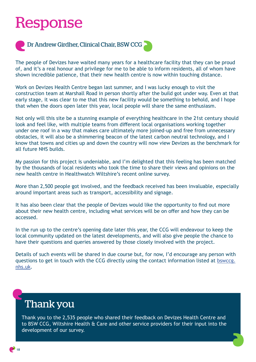# Response



The people of Devizes have waited many years for a healthcare facility that they can be proud of, and it's a real honour and privilege for me to be able to inform residents, all of whom have shown incredible patience, that their new health centre is now within touching distance.

Work on Devizes Health Centre began last summer, and I was lucky enough to visit the construction team at Marshall Road in person shortly after the build got under way. Even at that early stage, it was clear to me that this new facility would be something to behold, and I hope that when the doors open later this year, local people will share the same enthusiasm.

Not only will this site be a stunning example of everything healthcare in the 21st century should look and feel like, with multiple teams from different local organisations working together under one roof in a way that makes care ultimately more joined-up and free from unnecessary obstacles, it will also be a shimmering beacon of the latest carbon neutral technology, and I know that towns and cities up and down the country will now view Devizes as the benchmark for all future NHS builds.

My passion for this project is undeniable, and I'm delighted that this feeling has been matched by the thousands of local residents who took the time to share their views and opinions on the new health centre in Healthwatch Wiltshire's recent online survey.

More than 2,500 people got involved, and the feedback received has been invaluable, especially around important areas such as transport, accessibility and signage.

It has also been clear that the people of Devizes would like the opportunity to find out more about their new health centre, including what services will be on offer and how they can be accessed.

In the run up to the centre's opening date later this year, the CCG will endeavour to keep the local community updated on the latest developments, and will also give people the chance to have their questions and queries answered by those closely involved with the project.

Details of such events will be shared in due course but, for now, I'd encourage any person with questions to get in touch with the CCG directly using the contact information listed at [bswccg.](https://bswccg.nhs.uk/) [nhs.uk](https://bswccg.nhs.uk/).

## Thank you

Thank you to the 2,535 people who shared their feedback on Devizes Health Centre and to BSW CCG, Wiltshire Health & Care and other service providers for their input into the development of our survey.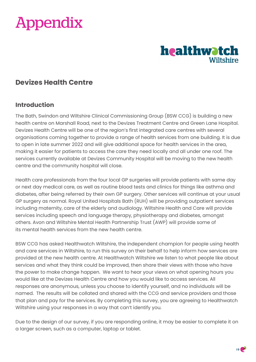# Appendix



### **Devizes Health Centre**

### **Introduction**

The Bath, Swindon and Wiltshire Clinical Commissioning Group (BSW CCG) is building a new health centre on Marshall Road, next to the Devizes Treatment Centre and Green Lane Hospital. Devizes Health Centre will be one of the region's first integrated care centres with several organisations coming together to provide a range of health services from one building. It is due to open in late summer 2022 and will give additional space for health services in the area, making it easier for patients to access the care they need locally and all under one roof. The services currently available at Devizes Community Hospital will be moving to the new health centre and the community hospital will close.

Health care professionals from the four local GP surgeries will provide patients with same day or next day medical care, as well as routine blood tests and clinics for things like asthma and diabetes, after being referred by their own GP surgery. Other services will continue at your usual GP surgery as normal. Royal United Hospitals Bath (RUH) will be providing outpatient services including maternity, care of the elderly and audiology. Wiltshire Health and Care will provide services including speech and language therapy, physiotherapy and diabetes, amongst others. Avon and Wiltshire Mental Health Partnership Trust (AWP) will provide some of its mental health services from the new health centre.

BSW CCG has asked Healthwatch Wiltshire, the independent champion for people using health and care services in Wiltshire, to run this survey on their behalf to help inform how services are provided at the new health centre. At Healthwatch Wiltshire we listen to what people like about services and what they think could be improved, then share their views with those who have the power to make change happen. We want to hear your views on what opening hours you would like at the Devizes Health Centre and how you would like to access services. All responses are anonymous, unless you choose to identify yourself, and no individuals will be named. The results will be collated and shared with the CCG and service providers and those that plan and pay for the services. By completing this survey, you are agreeing to Healthwatch Wiltshire using your responses in a way that can't identify you.

Due to the design of our survey, if you are responding online, it may be easier to complete it on a larger screen, such as a computer, laptop or tablet.

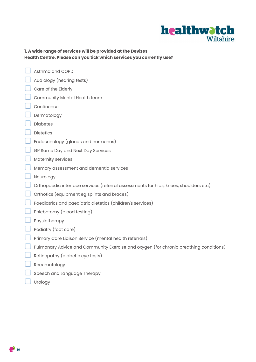

#### **1. A wide range of services will be provided at the Devizes Health Centre. Please can you tick which services you currently use?**

- Asthma and COPD
- Audiology (hearing tests)
- $\Box$  Care of the Elderly
- Community Mental Health team
- Continence
- **Dermatology**
- Diabetes
- Dietetics
- Endocrinology (glands and hormones)
- GP Same Day and Next Day Services
- **Maternity services**
- Memory assessment and dementia services
- **Neurology**
- $\Box$  Orthopaedic interface services (referral assessments for hips, knees, shoulders etc)
- $\Box$  Orthotics (equipment eg splints and braces)
- Paediatrics and paediatric dietetics (children's services)
- **Phlebotomy (blood testing)**
- **Physiotherapy**
- Podiatry (foot care)
- $\Box$  Primary Care Liaison Service (mental health referrals)
- Pulmonary Advice and Community Exercise and oxygen (for chronic breathing conditions)
- $\Box$  Retinopathy (diabetic eye tests)
- Rheumatology
- Speech and Language Therapy
- Urology

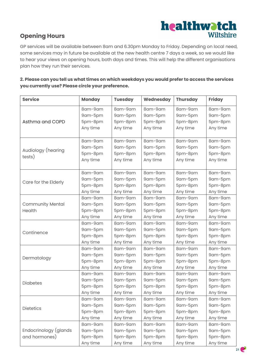## healthwatch **Wiltshire**

### **Opening Hours**

GP services will be available between 8am and 6.30pm Monday to Friday. Depending on local need, some services may in future be available at the new health centre 7 days a week, so we would like to hear your views on opening hours, both days and times. This will help the different organisations plan how they run their services.

#### **2. Please can you tell us what times on which weekdays you would prefer to access the services you currently use? Please circle your preference.**

| <b>Service</b>          | <b>Monday</b> | <b>Tuesday</b> | Wednesday | <b>Thursday</b> | <b>Friday</b> |
|-------------------------|---------------|----------------|-----------|-----------------|---------------|
|                         | 8am-9am       | 8am-9am        | 8am-9am   | 8am-9am         | 8am-9am       |
|                         | 9am-5pm       | 9am-5pm        | 9am-5pm   | 9am-5pm         | 9am-5pm       |
| Asthma and COPD         | 5pm-8pm       | 5pm-8pm        | 5pm-8pm   | 5pm-8pm         | 5pm-8pm       |
|                         | Any time      | Any time       | Any time  | Any time        | Any time      |
|                         |               |                |           |                 |               |
|                         | 8am-9am       | 8am-9am        | 8am-9am   | 8am-9am         | 8am-9am       |
| Audiology (hearing      | 9am-5pm       | 9am-5pm        | 9am-5pm   | 9am-5pm         | 9am-5pm       |
| tests)                  | 5pm-8pm       | 5pm-8pm        | 5pm-8pm   | 5pm-8pm         | 5pm-8pm       |
|                         | Any time      | Any time       | Any time  | Any time        | Any time      |
|                         | 8am-9am       | 8am-9am        | 8am-9am   | 8am-9am         | 8am-9am       |
|                         | 9am-5pm       | 9am-5pm        | 9am-5pm   | 9am-5pm         | 9am-5pm       |
| Care for the Elderly    | 5pm-8pm       | 5pm-8pm        | 5pm-8pm   | 5pm-8pm         | 5pm-8pm       |
|                         | Any time      | Any time       | Any time  | Any time        | Any time      |
|                         | 8am-9am       | 8am-9am        | 8am-9am   | 8am-9am         | 8am-9am       |
| <b>Community Mental</b> | 9am-5pm       | 9am-5pm        | 9am-5pm   | 9am-5pm         | 9am-5pm       |
| Health                  | 5pm-8pm       | 5pm-8pm        | 5pm-8pm   | 5pm-8pm         | 5pm-8pm       |
|                         | Any time      | Any time       | Any time  | Any time        | Any time      |
|                         | 8am-9am       | 8am-9am        | 8am-9am   | 8am-9am         | 8am-9am       |
|                         | 9am-5pm       | 9am-5pm        | 9am-5pm   | 9am-5pm         | 9am-5pm       |
| Continence              | 5pm-8pm       | 5pm-8pm        | 5pm-8pm   | 5pm-8pm         | 5pm-8pm       |
|                         | Any time      | Any time       | Any time  | Any time        | Any time      |
|                         | 8am-9am       | 8am-9am        | 8am-9am   | 8am-9am         | 8am-9am       |
| Dermatology             | 9am-5pm       | 9am-5pm        | 9am-5pm   | 9am-5pm         | 9am-5pm       |
|                         | 5pm-8pm       | 5pm-8pm        | 5pm-8pm   | 5pm-8pm         | 5pm-8pm       |
|                         | Any time      | Any time       | Any time  | Any time        | Any time      |
|                         | 8am-9am       | 8am-9am        | 8am-9am   | 8am-9am         | 8am-9am       |
| <b>Diabetes</b>         | 9am-5pm       | 9am-5pm        | 9am-5pm   | 9am-5pm         | 9am-5pm       |
|                         | 5pm-8pm       | 5pm-8pm        | 5pm-8pm   | 5pm-8pm         | 5pm-8pm       |
|                         | Any time      | Any time       | Any time  | Any time        | Any time      |
|                         | 8am-9am       | 8am-9am        | 8am-9am   | 8am-9am         | 8am-9am       |
| <b>Dietetics</b>        | 9am-5pm       | 9am-5pm        | 9am-5pm   | 9am-5pm         | 9am-5pm       |
|                         | 5pm-8pm       | 5pm-8pm        | 5pm-8pm   | 5pm-8pm         | 5pm-8pm       |
|                         | Any time      | Any time       | Any time  | Any time        | Any time      |
|                         | 8am-9am       | 8am-9am        | 8am-9am   | 8am-9am         | 8am-9am       |
| Endocrinology (glands   | 9am-5pm       | 9am-5pm        | 9am-5pm   | 9am-5pm         | 9am-5pm       |
| and hormones)           | 5pm-8pm       | 5pm-8pm        | 5pm-8pm   | 5pm-8pm         | 5pm-8pm       |
|                         | Any time      | Any time       | Any time  | Any time        | Any time      |

**21**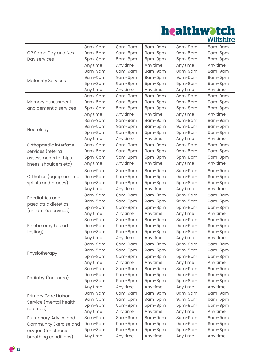

|                           | 8am-9am  | 8am-9am  | 8am-9am  | 8am-9am  | 8am-9am  |
|---------------------------|----------|----------|----------|----------|----------|
| GP Same Day and Next      | 9am-5pm  | 9am-5pm  | 9am-5pm  | 9am-5pm  | 9am-5pm  |
| Day services              | 5pm-8pm  | 5pm-8pm  | 5pm-8pm  | 5pm-8pm  | 5pm-8pm  |
|                           | Any time | Any time | Any time | Any time | Any time |
|                           | 8am-9am  | 8am-9am  | 8am-9am  | 8am-9am  | 8am-9am  |
|                           | 9am-5pm  | 9am-5pm  | 9am-5pm  | 9am-5pm  | 9am-5pm  |
| <b>Maternity Services</b> | 5pm-8pm  | 5pm-8pm  | 5pm-8pm  | 5pm-8pm  | 5pm-8pm  |
|                           | Any time | Any time | Any time | Any time | Any time |
|                           | 8am-9am  | 8am-9am  | 8am-9am  | 8am-9am  | 8am-9am  |
| Memory assessment         | 9am-5pm  | 9am-5pm  | 9am-5pm  | 9am-5pm  | 9am-5pm  |
| and dementia services     | 5pm-8pm  | 5pm-8pm  | 5pm-8pm  | 5pm-8pm  | 5pm-8pm  |
|                           | Any time | Any time | Any time | Any time | Any time |
|                           | 8am-9am  | 8am-9am  | 8am-9am  | 8am-9am  | 8am-9am  |
|                           |          |          |          |          |          |
| Neurology                 | 9am-5pm  | 9am-5pm  | 9am-5pm  | 9am-5pm  | 9am-5pm  |
|                           | 5pm-8pm  | 5pm-8pm  | 5pm-8pm  | 5pm-8pm  | 5pm-8pm  |
|                           | Any time | Any time | Any time | Any time | Any time |
| Orthopaedic interface     | 8am-9am  | 8am-9am  | 8am-9am  | 8am-9am  | 8am-9am  |
| services (referral        | 9am-5pm  | 9am-5pm  | 9am-5pm  | 9am-5pm  | 9am-5pm  |
| assessments for hips,     | 5pm-8pm  | 5pm-8pm  | 5pm-8pm  | 5pm-8pm  | 5pm-8pm  |
| knees, shoulders etc)     | Any time | Any time | Any time | Any time | Any time |
|                           | 8am-9am  | 8am-9am  | 8am-9am  | 8am-9am  | 8am-9am  |
| Orthotics (equipment eg   | 9am-5pm  | 9am-5pm  | 9am-5pm  | 9am-5pm  | 9am-5pm  |
| splints and braces)       | 5pm-8pm  | 5pm-8pm  | 5pm-8pm  | 5pm-8pm  | 5pm-8pm  |
|                           | Any time | Any time | Any time | Any time | Any time |
|                           | 8am-9am  | 8am-9am  | 8am-9am  | 8am-9am  | 8am-9am  |
| Paediatrics and           | 9am-5pm  | 9am-5pm  | 9am-5pm  | 9am-5pm  | 9am-5pm  |
| paediatric dietetics      | 5pm-8pm  | 5pm-8pm  | 5pm-8pm  | 5pm-8pm  | 5pm-8pm  |
| (children's services)     | Any time | Any time | Any time | Any time | Any time |
|                           | 8am-9am  | 8am-9am  | 8am-9am  | 8am-9am  | 8am-9am  |
| Phlebotomy (blood         | 9am-5pm  | 9am-5pm  | 9am-5pm  | 9am-5pm  | 9am-5pm  |
| testing)                  | 5pm-8pm  | 5pm-8pm  | 5pm-8pm  | 5pm-8pm  | 5pm-8pm  |
|                           | Any time | Any time | Any time | Any time | Any time |
|                           | 8am-9am  | 8am-9am  | 8am-9am  | 8am-9am  | 8am-9am  |
|                           | 9am-5pm  | 9am-5pm  | 9am-5pm  | 9am-5pm  | 9am-5pm  |
| Physiotherapy             | 5pm-8pm  | 5pm-8pm  | 5pm-8pm  | 5pm-8pm  | 5pm-8pm  |
|                           | Any time | Any time | Any time | Any time | Any time |
|                           | 8am-9am  | 8am-9am  | 8am-9am  | 8am-9am  | 8am-9am  |
|                           |          |          |          |          |          |
| Podiatry (foot care)      | 9am-5pm  | 9am-5pm  | 9am-5pm  | 9am-5pm  | 9am-5pm  |
|                           | 5pm-8pm  | 5pm-8pm  | 5pm-8pm  | 5pm-8pm  | 5pm-8pm  |
|                           | Any time | Any time | Any time | Any time | Any time |
| Primary Care Liaison      | 8am-9am  | 8am-9am  | 8am-9am  | 8am-9am  | 8am-9am  |
| Service (mental health    | 9am-5pm  | 9am-5pm  | 9am-5pm  | 9am-5pm  | 9am-5pm  |
| referrals)                | 5pm-8pm  | 5pm-8pm  | 5pm-8pm  | 5pm-8pm  | 5pm-8pm  |
|                           | Any time | Any time | Any time | Any time | Any time |
| Pulmonary Advice and      | 8am-9am  | 8am-9am  | 8am-9am  | 8am-9am  | 8am-9am  |
| Community Exercise and    | 9am-5pm  | 9am-5pm  | 9am-5pm  | 9am-5pm  | 9am-5pm  |
| oxygen (for chronic       | 5pm-8pm  | 5pm-8pm  | 5pm-8pm  | 5pm-8pm  | 5pm-8pm  |
| breathing conditions)     | Any time | Any time | Any time | Any time | Any time |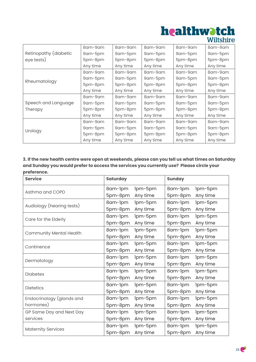

|                       | 8am-9am  | 8am-9am  | 8am-9am  | 8am-9am  | 8am-9am  |
|-----------------------|----------|----------|----------|----------|----------|
| Retinopathy (diabetic | 9am-5pm  | 9am-5pm  | 9am-5pm  | 9am-5pm  | 9am-5pm  |
| eye tests)            | 5pm-8pm  | 5pm-8pm  | 5pm-8pm  | 5pm-8pm  | 5pm-8pm  |
|                       | Any time | Any time | Any time | Any time | Any time |
|                       | 8am-9am  | 8am-9am  | 8am-9am  | 8am-9am  | 8am-9am  |
|                       | 9am-5pm  | 9am-5pm  | 9am-5pm  | 9am-5pm  | 9am-5pm  |
| Rheumatology          | 5pm-8pm  | 5pm-8pm  | 5pm-8pm  | 5pm-8pm  | 5pm-8pm  |
|                       | Any time | Any time | Any time | Any time | Any time |
|                       | 8am-9am  | 8am-9am  | 8am-9am  | 8am-9am  | 8am-9am  |
| Speech and Language   | 9am-5pm  | 9am-5pm  | 9am-5pm  | 9am-5pm  | 9am-5pm  |
| Therapy               | 5pm-8pm  | 5pm-8pm  | 5pm-8pm  | 5pm-8pm  | 5pm-8pm  |
|                       | Any time | Any time | Any time | Any time | Any time |
|                       | 8am-9am  | 8am-9am  | 8am-9am  | 8am-9am  | 8am-9am  |
|                       | 9am-5pm  | 9am-5pm  | 9am-5pm  | 9am-5pm  | 9am-5pm  |
| Urology               | 5pm-8pm  | 5pm-8pm  | 5pm-8pm  | 5pm-8pm  | 5pm-8pm  |
|                       | Any time | Any time | Any time | Any time | Any time |

**3. If the new health centre were open at weekends, please can you tell us what times on Saturday and Sunday you would prefer to access the services you currently use? Please circle your preference.** 

| <b>Service</b>                 | <b>Saturday</b> |          | <b>Sunday</b> |          |
|--------------------------------|-----------------|----------|---------------|----------|
| Asthma and COPD                | 8am-1pm         | Ipm-5pm  | 8am-1pm       | Ipm-5pm  |
|                                | 5pm-8pm         | Any time | 5pm-8pm       | Any time |
| Audiology (hearing tests)      | 8am-1pm         | Ipm-5pm  | 8am-1pm       | Ipm-5pm  |
|                                | 5pm-8pm         | Any time | 5pm-8pm       | Any time |
|                                | 8am-1pm         | Ipm-5pm  | 8am-1pm       | Ipm-5pm  |
| Care for the Elderly           | 5pm-8pm         | Any time | 5pm-8pm       | Any time |
|                                | 8am-1pm         | Ipm-5pm  | 8am-1pm       | Ipm-5pm  |
| <b>Community Mental Health</b> | 5pm-8pm         | Any time | 5pm-8pm       | Any time |
|                                | 8am-1pm         | Ipm-5pm  | 8am-1pm       | Ipm-5pm  |
| Continence                     | 5pm-8pm         | Any time | 5pm-8pm       | Any time |
|                                | 8am-1pm         | Ipm-5pm  | 8am-1pm       | Ipm-5pm  |
| Dermatology                    | 5pm-8pm         | Any time | 5pm-8pm       | Any time |
| <b>Diabetes</b>                | 8am-1pm         | Ipm-5pm  | 8am-1pm       | Ipm-5pm  |
|                                | 5pm-8pm         | Any time | 5pm-8pm       | Any time |
| <b>Dietetics</b>               | 8am-1pm         | Ipm-5pm  | 8am-1pm       | Ipm-5pm  |
|                                | 5pm-8pm         | Any time | 5pm-8pm       | Any time |
| Endocrinology (glands and      | 8am-1pm         | Ipm-5pm  | 8am-1pm       | Ipm-5pm  |
| hormones)                      | 5pm-8pm         | Any time | 5pm-8pm       | Any time |
| GP Same Day and Next Day       | 8am-1pm         | Ipm-5pm  | 8am-1pm       | Ipm-5pm  |
| services                       | 5pm-8pm         | Any time | 5pm-8pm       | Any time |
|                                | 8am-1pm         | Ipm-5pm  | 8am-1pm       | Ipm-5pm  |
| <b>Maternity Services</b>      | 5pm-8pm         | Any time | 5pm-8pm       | Any time |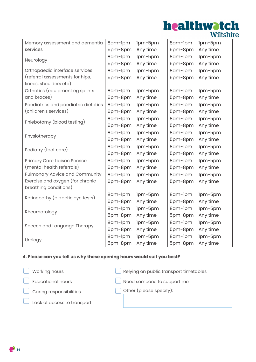## healthwatch **Wiltshire**

| Memory assessment and dementia        | 8am-1pm | Ipm-5pm  | 8am-1pm | Ipm-5pm  |
|---------------------------------------|---------|----------|---------|----------|
| services                              | 5pm-8pm | Any time | 5pm-8pm | Any time |
|                                       | 8am-1pm | Ipm-5pm  | 8am-1pm | Ipm-5pm  |
| Neurology                             | 5pm-8pm | Any time | 5pm-8pm | Any time |
| Orthopaedic interface services        | 8am-1pm | Ipm-5pm  | 8am-1pm | Ipm-5pm  |
| (referral assessments for hips,       | 5pm-8pm | Any time | 5pm-8pm | Any time |
| knees, shoulders etc)                 |         |          |         |          |
| Orthotics (equipment eg splints       | 8am-1pm | Ipm-5pm  | 8am-1pm | Ipm-5pm  |
| and braces)                           | 5pm-8pm | Any time | 5pm-8pm | Any time |
| Paediatrics and paediatric dietetics  | 8am-1pm | Ipm-5pm  | 8am-1pm | Ipm-5pm  |
| (children's services)                 | 5pm-8pm | Any time | 5pm-8pm | Any time |
|                                       | 8am-1pm | Ipm-5pm  | 8am-1pm | Ipm-5pm  |
| Phlebotomy (blood testing)            | 5pm-8pm | Any time | 5pm-8pm | Any time |
| Physiotherapy                         | 8am-1pm | Ipm-5pm  | 8am-1pm | Ipm-5pm  |
|                                       | 5pm-8pm | Any time | 5pm-8pm | Any time |
| Podiatry (foot care)                  | 8am-1pm | Ipm-5pm  | 8am-1pm | Ipm-5pm  |
|                                       | 5pm-8pm | Any time | 5pm-8pm | Any time |
| Primary Care Liaison Service          | 8am-1pm | Ipm-5pm  | 8am-1pm | Ipm-5pm  |
| (mental health referrals)             | 5pm-8pm | Any time | 5pm-8pm | Any time |
| <b>Pulmonary Advice and Community</b> | 8am-1pm | Ipm-5pm  | 8am-1pm | Ipm-5pm  |
| Exercise and oxygen (for chronic      | 5pm-8pm | Any time | 5pm-8pm | Any time |
| breathing conditions)                 |         |          |         |          |
| Retinopathy (diabetic eye tests)      | 8am-1pm | Ipm-5pm  | 8am-1pm | Ipm-5pm  |
|                                       | 5pm-8pm | Any time | 5pm-8pm | Any time |
| Rheumatology                          | 8am-1pm | Ipm-5pm  | 8am-1pm | Ipm-5pm  |
|                                       | 5pm-8pm | Any time | 5pm-8pm | Any time |
|                                       | 8am-1pm | Ipm-5pm  | 8am-1pm | Ipm-5pm  |
| Speech and Language Therapy           | 5pm-8pm | Any time | 5pm-8pm | Any time |
|                                       | 8am-1pm | Ipm-5pm  | 8am-1pm | Ipm-5pm  |
| Urology                               | 5pm-8pm | Any time | 5pm-8pm | Any time |

#### **4. Please can you tell us why these opening hours would suit you best?**

Working hours  $\Box$  Relying on public transport timetables

Educational hours **Need someone to support me** 

Lack of access to transport

Caring responsibilities Cother (please specify):

**24**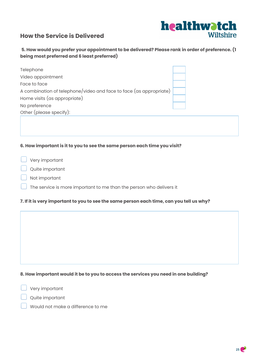### **How the Service is Delivered**



**5. How would you prefer your appointment to be delivered? Please rank in order of preference. (1 being most preferred and 6 least preferred)** 

| Telephone                                                          |  |
|--------------------------------------------------------------------|--|
| Video appointment                                                  |  |
| Face to face                                                       |  |
| A combination of telephone/video and face to face (as appropriate) |  |
| Home visits (as appropriate)                                       |  |
| No preference                                                      |  |
| Other (please specify):                                            |  |

#### **6. How important is it to you to see the same person each time you visit?**

- Very important
- Quite important
- Not important
	- $\mid$  The service is more important to me than the person who delivers it

#### **7. If it is very important to you to see the same person each time, can you tell us why?**

#### **8. How important would it be to you to access the services you need in one building?**

- Very important
	- Quite important
- Would not make a difference to me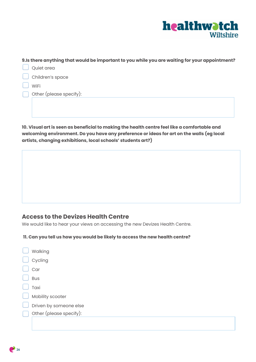

**9.Is there anything that would be important to you while you are waiting for your appointment?** 



**10. Visual art is seen as beneficial to making the health centre feel like a comfortable and welcoming environment. Do you have any preference or ideas for art on the walls (eg local artists, changing exhibitions, local schools' students art?)** 

### **Access to the Devizes Health Centre**

We would like to hear your views on accessing the new Devizes Health Centre.

**11. Can you tell us how you would be likely to access the new health centre?** 

 Walking Cycling  $|$  Car  $\vert$  Bus l Taxi **Mobility scooter** Driven by someone else Other (please specify):

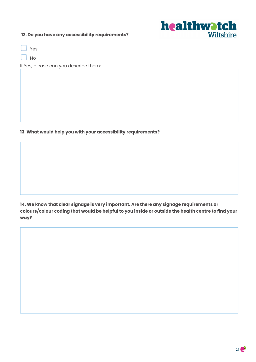#### **12. Do you have any accessibility requirements?**



Yes

No

If Yes, please can you describe them:

**13. What would help you with your accessibility requirements?** 

**14. We know that clear signage is very important. Are there any signage requirements or colours/colour coding that would be helpful to you inside or outside the health centre to find your way?** 

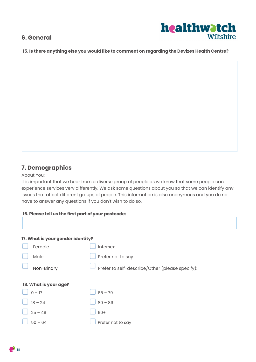### **6. General**



**15. Is there anything else you would like to comment on regarding the Devizes Health Centre?** 

### **7. Demographics**

#### About You:

**28** 

It is important that we hear from a diverse group of people as we know that some people can experience services very differently. We ask some questions about you so that we can identify any issues that affect different groups of people. This information is also anonymous and you do not have to answer any questions if you don't wish to do so.

#### **16. Please tell us the first part of your postcode:**

| 17. What is your gender identity? |                                                 |
|-----------------------------------|-------------------------------------------------|
| Female                            | <b>Intersex</b>                                 |
| Male                              | Prefer not to say                               |
| Non-Binary                        | Prefer to self-describe/Other (please specify): |
| 18. What is your age?             |                                                 |
| $0 - 17$                          | $65 - 79$                                       |
| $18 - 24$                         | $80 - 89$                                       |
| $25 - 49$                         | $90+$                                           |
| $50 - 64$                         | Prefer not to say                               |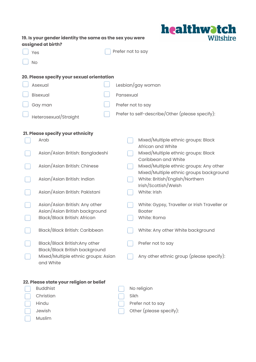|                                                                                | <b>healthwatch</b>                                                                 |
|--------------------------------------------------------------------------------|------------------------------------------------------------------------------------|
| 19. Is your gender identity the same as the sex you were<br>assigned at birth? | Wiltshire                                                                          |
| Yes                                                                            | Prefer not to say                                                                  |
| <b>No</b>                                                                      |                                                                                    |
|                                                                                |                                                                                    |
| 20. Please specify your sexual orientation                                     |                                                                                    |
| Asexual                                                                        | Lesbian/gay woman                                                                  |
| <b>Bisexual</b>                                                                | Pansexual                                                                          |
| Gay man                                                                        | Prefer not to say                                                                  |
| Heterosexual/Straight                                                          | Prefer to self-describe/Other (please specify):                                    |
| 21. Please specify your ethnicity                                              |                                                                                    |
| Arab                                                                           | Mixed/Multiple ethnic groups: Black                                                |
| Asian/Asian British: Bangladeshi                                               | African and White<br>Mixed/Multiple ethnic groups: Black<br>Caribbean and White    |
| Asian/Asian British: Chinese                                                   | Mixed/Multiple ethnic groups: Any other<br>Mixed/Multiple ethnic groups background |
| Asian/Asian British: Indian                                                    | White: British/English/Northern<br>Irish/Scottish/Welsh                            |
| Asian/Asian British: Pakistani                                                 | White: Irish                                                                       |
| Asian/Asian British: Any other                                                 | White: Gypsy, Traveller or Irish Traveller or                                      |
| Asian/Asian British background<br><b>Black/Black British: African</b>          | <b>Boater</b><br>White: Roma                                                       |
|                                                                                |                                                                                    |
| Black/Black British: Caribbean                                                 | White: Any other White background                                                  |
| Black/Black British: Any other                                                 | Prefer not to say                                                                  |
| <b>Black/Black British background</b>                                          |                                                                                    |
| Mixed/Multiple ethnic groups: Asian<br>and White                               | Any other ethnic group (please specify):                                           |
|                                                                                |                                                                                    |
| 22. Please state your religion or belief<br><b>Buddhist</b>                    | No religion                                                                        |
| Christian                                                                      | Sikh                                                                               |
| Hindu                                                                          | Prefer not to say                                                                  |
| Jewish                                                                         | Other (please specify):                                                            |
| Muslim                                                                         |                                                                                    |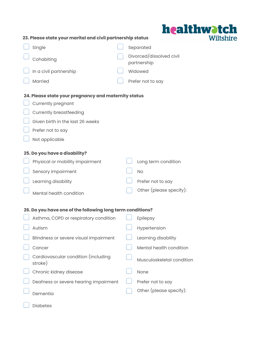|                                                                                                                                                                                                                                                                                                                                            |                                                                                                                                                                 | healthwatch |
|--------------------------------------------------------------------------------------------------------------------------------------------------------------------------------------------------------------------------------------------------------------------------------------------------------------------------------------------|-----------------------------------------------------------------------------------------------------------------------------------------------------------------|-------------|
| 23. Please state your marital and civil partnership status                                                                                                                                                                                                                                                                                 |                                                                                                                                                                 | Wiltshire   |
| Single                                                                                                                                                                                                                                                                                                                                     | Separated                                                                                                                                                       |             |
| Cohabiting                                                                                                                                                                                                                                                                                                                                 | Divorced/dissolved civil<br>partnership                                                                                                                         |             |
| In a civil partnership                                                                                                                                                                                                                                                                                                                     | Widowed                                                                                                                                                         |             |
| <b>Married</b>                                                                                                                                                                                                                                                                                                                             | Prefer not to say                                                                                                                                               |             |
| 24. Please state your pregnancy and maternity status<br><b>Currently pregnant</b><br><b>Currently breastfeeding</b><br>Given birth in the last 26 weeks<br>Prefer not to say<br>Not applicable<br>25. Do you have a disability?<br>Physical or mobility impairment<br>Sensory impairment<br>Learning disability<br>Mental health condition | Long term condition<br><b>No</b><br>Prefer not to say<br>Other (please specify):                                                                                |             |
| 26. Do you have one of the following long term conditions?<br>Asthma, COPD or respiratory condition<br>Autism<br>Blindness or severe visual impairment<br>Cancer<br>Cardiovascular condition (including<br>stroke)<br>Chronic kidney disease<br>Deafness or severe hearing impairment<br>Dementia                                          | Epilepsy<br>Hypertension<br>Learning disability<br>Mental health condition<br>Musculoskeletal condition<br>None<br>Prefer not to say<br>Other (please specify): |             |
| <b>Diabetes</b>                                                                                                                                                                                                                                                                                                                            |                                                                                                                                                                 |             |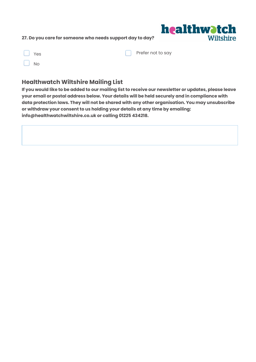|  |  |  | 27. Do you care for someone who needs support day to day? |  |  |  |
|--|--|--|-----------------------------------------------------------|--|--|--|
|--|--|--|-----------------------------------------------------------|--|--|--|



| Yes |
|-----|
| No  |

Yes Prefer not to say

### **Healthwatch Wiltshire Mailing List**

**If you would like to be added to our mailing list to receive our newsletter or updates, please leave your email or postal address below. Your details will be held securely and in compliance with data protection laws. They will not be shared with any other organisation. You may unsubscribe or withdraw your consent to us holding your details at any time by emailing: info@healthwatchwiltshire.co.uk or calling 01225 434218.**